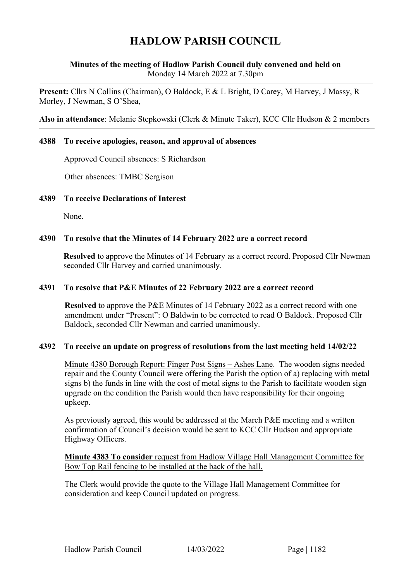# **HADLOW PARISH COUNCIL**

## **Minutes of the meeting of Hadlow Parish Council duly convened and held on** Monday 14 March 2022 at 7.30pm

**Present:** Cllrs N Collins (Chairman), O Baldock, E & L Bright, D Carey, M Harvey, J Massy, R Morley, J Newman, S O'Shea,

**Also in attendance**: Melanie Stepkowski (Clerk & Minute Taker), KCC Cllr Hudson & 2 members

#### **4388 To receive apologies, reason, and approval of absences**

Approved Council absences: S Richardson

Other absences: TMBC Sergison

#### **4389 To receive Declarations of Interest**

None.

#### **4390 To resolve that the Minutes of 14 February 2022 are a correct record**

**Resolved** to approve the Minutes of 14 February as a correct record. Proposed Cllr Newman seconded Cllr Harvey and carried unanimously.

#### **4391 To resolve that P&E Minutes of 22 February 2022 are a correct record**

**Resolved** to approve the P&E Minutes of 14 February 2022 as a correct record with one amendment under "Present": O Baldwin to be corrected to read O Baldock. Proposed Cllr Baldock, seconded Cllr Newman and carried unanimously.

#### **4392 To receive an update on progress of resolutions from the last meeting held 14/02/22**

Minute 4380 Borough Report: Finger Post Signs – Ashes Lane. The wooden signs needed repair and the County Council were offering the Parish the option of a) replacing with metal signs b) the funds in line with the cost of metal signs to the Parish to facilitate wooden sign upgrade on the condition the Parish would then have responsibility for their ongoing upkeep.

As previously agreed, this would be addressed at the March P&E meeting and a written confirmation of Council's decision would be sent to KCC Cllr Hudson and appropriate Highway Officers.

**Minute 4383 To consider** request from Hadlow Village Hall Management Committee for Bow Top Rail fencing to be installed at the back of the hall.

The Clerk would provide the quote to the Village Hall Management Committee for consideration and keep Council updated on progress.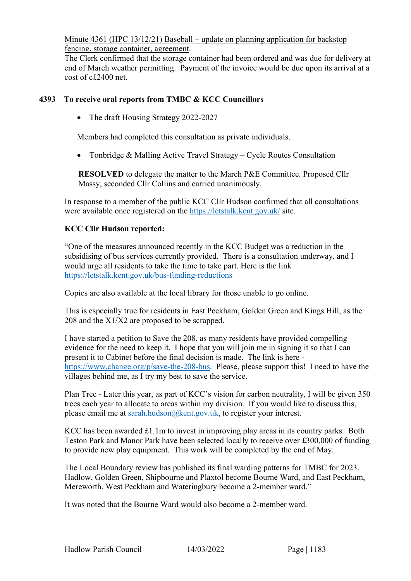Minute 4361 (HPC 13/12/21) Baseball – update on planning application for backstop fencing, storage container, agreement.

The Clerk confirmed that the storage container had been ordered and was due for delivery at end of March weather permitting. Payment of the invoice would be due upon its arrival at a cost of c£2400 net.

## **4393 To receive oral reports from TMBC & KCC Councillors**

• The draft Housing Strategy 2022-2027

Members had completed this consultation as private individuals.

• Tonbridge & Malling Active Travel Strategy – Cycle Routes Consultation

**RESOLVED** to delegate the matter to the March P&E Committee. Proposed Cllr Massy, seconded Cllr Collins and carried unanimously.

In response to a member of the public KCC Cllr Hudson confirmed that all consultations were available once registered on the<https://letstalk.kent.gov.uk/> site.

#### **KCC Cllr Hudson reported:**

"One of the measures announced recently in the KCC Budget was a reduction in the subsidising of bus services currently provided. There is a consultation underway, and I would urge all residents to take the time to take part. Here is the link <https://letstalk.kent.gov.uk/bus-funding-reductions>

Copies are also available at the local library for those unable to go online.

This is especially true for residents in East Peckham, Golden Green and Kings Hill, as the 208 and the X1/X2 are proposed to be scrapped.

I have started a petition to Save the 208, as many residents have provided compelling evidence for the need to keep it. I hope that you will join me in signing it so that I can present it to Cabinet before the final decision is made. The link is here [https://www.change.org/p/save-the-208-bus.](https://www.change.org/p/save-the-208-bus) Please, please support this! I need to have the villages behind me, as I try my best to save the service.

Plan Tree - Later this year, as part of KCC's vision for carbon neutrality, I will be given 350 trees each year to allocate to areas within my division. If you would like to discuss this, please email me at [sarah.hudson@kent.gov.uk,](mailto:sarah.hudson@kent.gov.uk) to register your interest.

KCC has been awarded £1.1m to invest in improving play areas in its country parks. Both Teston Park and Manor Park have been selected locally to receive over £300,000 of funding to provide new play equipment. This work will be completed by the end of May.

The Local Boundary review has published its final warding patterns for TMBC for 2023. Hadlow, Golden Green, Shipbourne and Plaxtol become Bourne Ward, and East Peckham, Mereworth, West Peckham and Wateringbury become a 2-member ward."

It was noted that the Bourne Ward would also become a 2-member ward.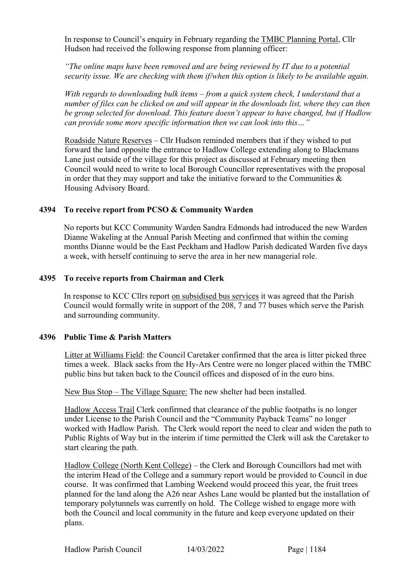In response to Council's enquiry in February regarding the TMBC Planning Portal, Cllr Hudson had received the following response from planning officer:

*"The online maps have been removed and are being reviewed by IT due to a potential security issue. We are checking with them if/when this option is likely to be available again.*

*With regards to downloading bulk items – from a quick system check, I understand that a number of files can be clicked on and will appear in the downloads list, where they can then be group selected for download. This feature doesn't appear to have changed, but if Hadlow can provide some more specific information then we can look into this…"*

Roadside Nature Reserves – Cllr Hudson reminded members that if they wished to put forward the land opposite the entrance to Hadlow College extending along to Blackmans Lane just outside of the village for this project as discussed at February meeting then Council would need to write to local Borough Councillor representatives with the proposal in order that they may support and take the initiative forward to the Communities  $\&$ Housing Advisory Board.

#### **4394 To receive report from PCSO & Community Warden**

No reports but KCC Community Warden Sandra Edmonds had introduced the new Warden Dianne Wakeling at the Annual Parish Meeting and confirmed that within the coming months Dianne would be the East Peckham and Hadlow Parish dedicated Warden five days a week, with herself continuing to serve the area in her new managerial role.

#### **4395 To receive reports from Chairman and Clerk**

In response to KCC Cllrs report on subsidised bus services it was agreed that the Parish Council would formally write in support of the 208, 7 and 77 buses which serve the Parish and surrounding community.

# **4396 Public Time & Parish Matters**

Litter at Williams Field: the Council Caretaker confirmed that the area is litter picked three times a week. Black sacks from the Hy-Ars Centre were no longer placed within the TMBC public bins but taken back to the Council offices and disposed of in the euro bins.

New Bus Stop – The Village Square: The new shelter had been installed.

Hadlow Access Trail Clerk confirmed that clearance of the public footpaths is no longer under License to the Parish Council and the "Community Payback Teams" no longer worked with Hadlow Parish. The Clerk would report the need to clear and widen the path to Public Rights of Way but in the interim if time permitted the Clerk will ask the Caretaker to start clearing the path.

Hadlow College (North Kent College) – the Clerk and Borough Councillors had met with the interim Head of the College and a summary report would be provided to Council in due course. It was confirmed that Lambing Weekend would proceed this year, the fruit trees planned for the land along the A26 near Ashes Lane would be planted but the installation of temporary polytunnels was currently on hold. The College wished to engage more with both the Council and local community in the future and keep everyone updated on their plans.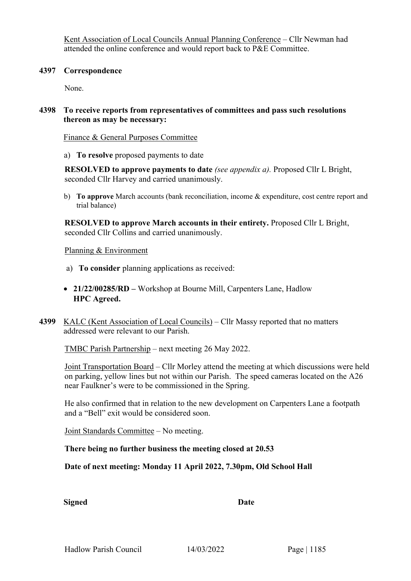Kent Association of Local Councils Annual Planning Conference – Cllr Newman had attended the online conference and would report back to P&E Committee.

#### **4397 Correspondence**

None.

# **4398 To receive reports from representatives of committees and pass such resolutions thereon as may be necessary:**

Finance & General Purposes Committee

a) **To resolve** proposed payments to date

**RESOLVED to approve payments to date** *(see appendix a).* Proposed Cllr L Bright, seconded Cllr Harvey and carried unanimously.

b) **To approve** March accounts (bank reconciliation, income & expenditure, cost centre report and trial balance)

**RESOLVED to approve March accounts in their entirety.** Proposed Cllr L Bright, seconded Cllr Collins and carried unanimously.

#### Planning & Environment

- a) **To consider** planning applications as received:
- **21/22/00285/RD –** Workshop at Bourne Mill, Carpenters Lane, Hadlow **HPC Agreed.**
- **4399** KALC (Kent Association of Local Councils) Cllr Massy reported that no matters addressed were relevant to our Parish.

TMBC Parish Partnership – next meeting 26 May 2022.

Joint Transportation Board – Cllr Morley attend the meeting at which discussions were held on parking, yellow lines but not within our Parish. The speed cameras located on the A26 near Faulkner's were to be commissioned in the Spring.

He also confirmed that in relation to the new development on Carpenters Lane a footpath and a "Bell" exit would be considered soon.

Joint Standards Committee – No meeting.

**There being no further business the meeting closed at 20.53**

**Date of next meeting: Monday 11 April 2022, 7.30pm, Old School Hall**

**Signed Date**